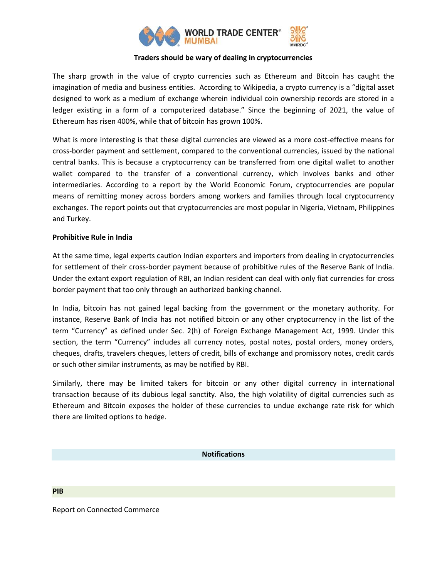

## **Traders should be wary of dealing in cryptocurrencies**

The sharp growth in the value of crypto currencies such as Ethereum and Bitcoin has caught the imagination of media and business entities. According to Wikipedia, a crypto currency is a "digital asset designed to work as a medium of exchange wherein individual coin ownership records are stored in a ledger existing in a form of a computerized database." Since the beginning of 2021, the value of Ethereum has risen 400%, while that of bitcoin has grown 100%.

What is more interesting is that these digital currencies are viewed as a more cost-effective means for cross-border payment and settlement, compared to the conventional currencies, issued by the national central banks. This is because a cryptocurrency can be transferred from one digital wallet to another wallet compared to the transfer of a conventional currency, which involves banks and other intermediaries. According to a report by the World Economic Forum, cryptocurrencies are popular means of remitting money across borders among workers and families through local cryptocurrency exchanges. The report points out that cryptocurrencies are most popular in Nigeria, Vietnam, Philippines and Turkey.

### **Prohibitive Rule in India**

At the same time, legal experts caution Indian exporters and importers from dealing in cryptocurrencies for settlement of their cross-border payment because of prohibitive rules of the Reserve Bank of India. Under the extant export regulation of RBI, an Indian resident can deal with only fiat currencies for cross border payment that too only through an authorized banking channel.

In India, bitcoin has not gained legal backing from the government or the monetary authority. For instance, Reserve Bank of India has not notified bitcoin or any other cryptocurrency in the list of the term "Currency" as defined under Sec. 2(h) of Foreign Exchange Management Act, 1999. Under this section, the term "Currency" includes all currency notes, postal notes, postal orders, money orders, cheques, drafts, travelers cheques, letters of credit, bills of exchange and promissory notes, credit cards or such other similar instruments, as may be notified by RBI.

Similarly, there may be limited takers for bitcoin or any other digital currency in international transaction because of its dubious legal sanctity. Also, the high volatility of digital currencies such as Ethereum and Bitcoin exposes the holder of these currencies to undue exchange rate risk for which there are limited options to hedge.

# **Notifications**

**PIB**

Report on Connected Commerce